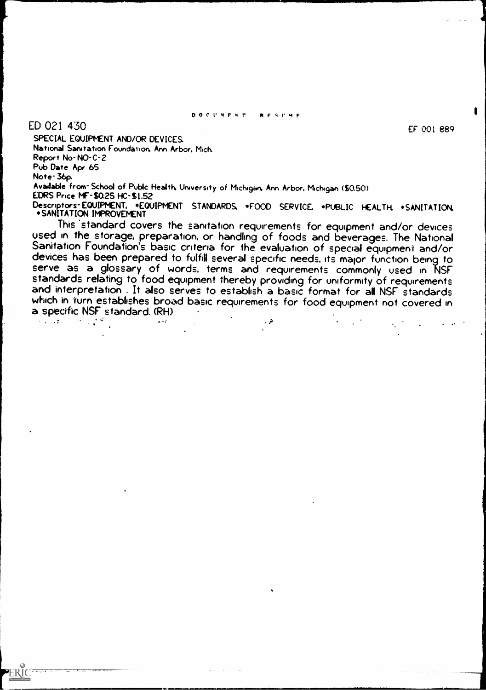#### DOCVMFNT P1FSI'MF

# ED 021 430

ERIC

EF 001 889

SPECIAL EQUIPMENT AND/OR DEVICES. National Sanitation Foundavion, Ann Arbor. Mich Report No-NO-C-2 Pub Date Apr 65 Note- 36p. Available from- School of Pubic Health. University of Michigan. Ann Arbor, Michigan 30.50) EDRS Price MF-\$0.25 HC-SI.52

Descriptors- EQUIPMENT, +EQUIPMENT STANDARDS, +FOOD SERVICE. +PUBLIC HEALTH +SANITATION \*SANITATION IMPROVEMENT<br>This standard covers the sanitation requirements for equipment and/or devices

used in the storage, preparation, or handling of foods and beverages. The National Sanitation Foundation's basic criteria for the evaluation of special equipment and/or devices has been prepared to fulfill several specific serve as a glossary of words, terms and requirements commonly used in NSF<br>standards relating to food equipment thereby providing for uniformity of requirements and interpretation . It also serves to establish a basic format for all NSF standards which in furn establishes broad basic requirements for food equipment not covered in a specific NSF standard. (RH)الم .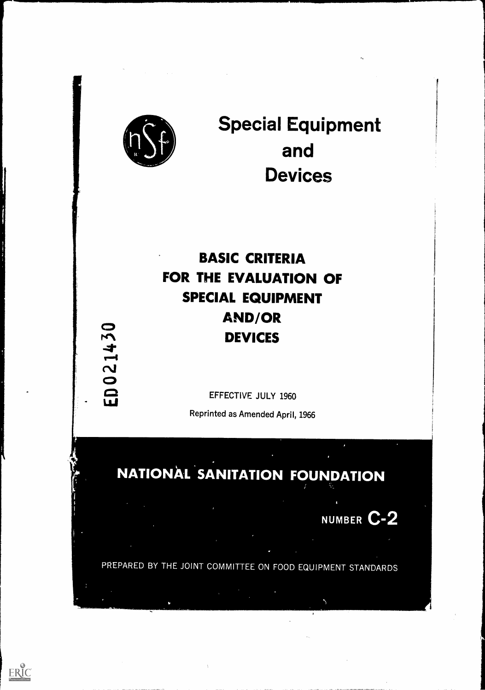

 $\begin{array}{ccc} \mathbf{1} & \mathbf{1} & \mathbf{1} & \mathbf{1} & \mathbf{1} & \mathbf{1} & \mathbf{1} & \mathbf{1} & \mathbf{1} & \mathbf{1} & \mathbf{1} & \mathbf{1} & \mathbf{1} & \mathbf{1} & \mathbf{1} & \mathbf{1} & \mathbf{1} & \mathbf{1} & \mathbf{1} & \mathbf{1} & \mathbf{1} & \mathbf{1} & \mathbf{1} & \mathbf{1} & \mathbf{1} & \mathbf{1} & \mathbf{1} & \mathbf{1} & \mathbf{1} & \mathbf{1} & \mathbf$ 

Limi

 $\sim$ **C**OUNTER **Special Equipment** and Devices

# BASIC CRITERIA FOR THE EVALUATION OF SPECIAL EQUIPMENT AND/OR<br>  $\begin{array}{ccc}\n\heartsuit & & & \text{APV} \\
\uparrow & & & \text{DEVICES}\n\end{array}$

EFFECTIVE JULY 1960

Reprinted as Amended April, 1966

# **NATIONAL SANITATION FOUNDATION**

NUMBER C-2

PREPARED **IOINT COMM** THE  $IDMLUN$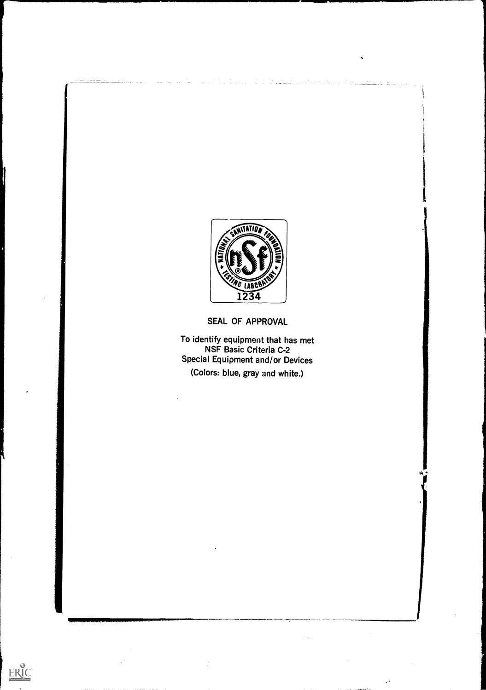

SEAL OF APPROVAL

To identify equipment that has met NSF Basic Criteria C-2 Special Equipment and/or Devices (Colors: blue, gray and white.)

 $\mathcal{P}$ 

 $\underset{\overbrace{\mathbf{F} \text{full Test Perioded by EHC}}}{{\mathbf{F} \text{full Test Product by EHC}}}}$ 

 $\frac{1}{2}$ 

 $\epsilon_{\rm max}$ 

 $\sim$ 

 $\sim$ 

 $\epsilon^2$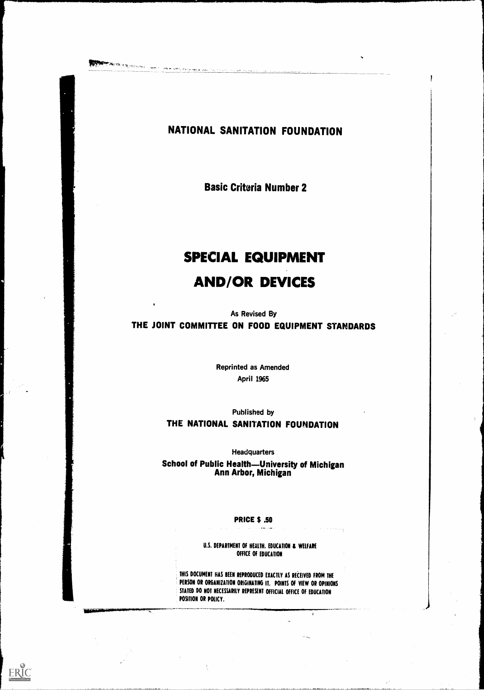ERIC

# NATIONAL SANITATION FOUNDATION

Basic Criteria Number 2

# SPECIAL EQUIPMENT AND/OR DEVICES

As Revised By THE JOINT COMMITTEE ON FOOD EQUIPMENT STANDARDS

> Reprinted as Amended April 1965

> > Published by

# THE NATIONAL SANITATION FOUNDATION

**Headquarters** 

School of Public Health—University of Michigan Ann Arbor, Michigan

#### PRICE \$ .50

U.S. DEPARTMENT OF HEALTH, EDUCATION & WELFARE OFFICE OF EDUCATION

THIS DOCUMENT HAS BEEN REPRODUCED EXACTLY AS RECEIVED FROM THE PERSON OR ORGANIZATION ORIGINATING IT. POINTS OF VIEW OR OPINIONS STATED DO NOT NECESSARILY REPRESENT OFFICIAL OFFICE OF EDUCATION POSITION OR POLICY.

 $\pmb{t}$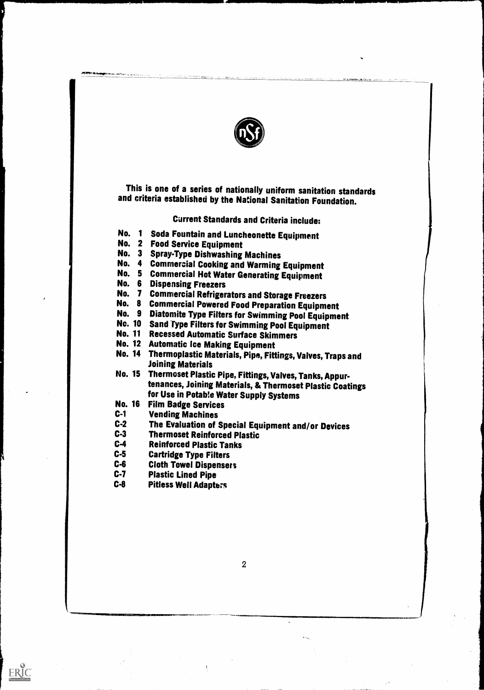

This is one of a series of nationally uniform sanitation standards and criteria established by the National Sanitation Foundation.

Current Standards and Criteria include:

- No. <sup>1</sup> Soda Fountain and Luncheonette Equipment
- No. 2 Food Service Equipment
- No. 3 Spray-Type Dishwashing Machines
- No. 4 Commercial Cooking and Warming Equipment
- No. 5 Commercial Hot Water Generating Equipment
- No. 6 Dispensing Freezers
- No. 7 Commercial Refrigerators and Storage Freezers
- No. 8 Commercial Powered Food Preparation Equipment
- No. 9 Diatomite Type Filters for Swimming Pool Equipment
- No. 10 Sand Type Filters for Swimming Pool Equipment
- No. 11 Recessed Automatic Surface Skimmers
- No. 12 Automatic Ice Making Equipment
- No. 14 Thermoplastic Materials, Pipe, Fittings, Valves, Traps and Joining Materials
- No. 15 Thermoset Plastic Pipe, Fittings, Valves, Tanks, Appurtenances, Joining Materials, & Thermoset Plastic Coatings for Use in Potable Water Supply Systems
- No. 16 Film Badge Services
- C-1 Vending Machines<br>C-2 The Evaluation of 9
- C-2 The Evaluation of Special Equipment and/or Devices<br>C-3 Thermoset Reinforced Plastic
- C-3 Thermoset Reinforced Plastic<br>C-4 Reinforced Plastic Tanks
- **Reinforced Plastic Tanks**
- C-5 Cartridge Type Filters
- C-6 Cloth Towel Dispensers
- C-7 Plastic Lined Pipe

ERIC

C-8 Pitless Well Adapters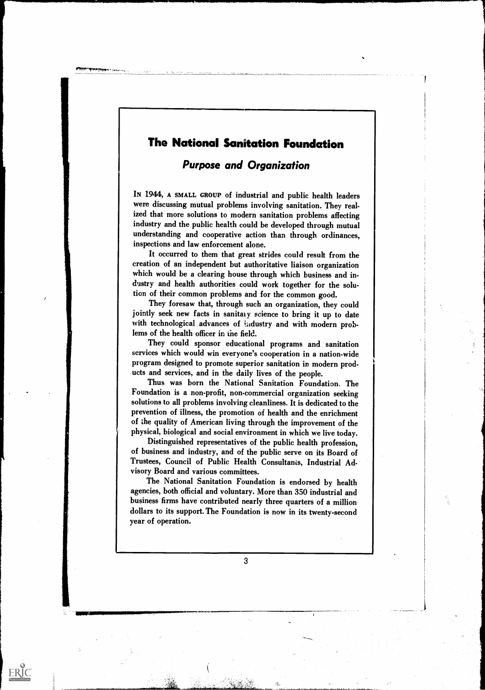# The National Sanitation Foundation

# Purpose and Organization

IN 1944, A SMALL GROUP of industrial and public health leaders were discussing mutual problems involving sanitation. They realized that more solutions to modern sanitation problems affecting industry and the public health could be developed through mutual understanding and cooperative action than through ordinances, inspections and law enforcement alone.

It occurred to them that great strides could result from the creation of an independent but authoritative liaison organization which would be a clearing house through which business and industry and health authorities could work together for the solution of their common problems and for the common good.

They foresaw that, through such an organization, they could jointly seek new facts in sanitary science to bring it up to date with technological advances of industry and with modern problems of the health officer in the field.

They could sponsor educational programs and sanitation services which would win everyone's cooperation in a nation-wide program designed to promote superior sanitation in modern products and services, and in the daily lives of the people.

Thus was born the National Sanitation Foundation. The Foundation is a non-profit, non-commercial organization seeking solutions to all problems involving cleanliness. It is dedicated to the prevention of illness, the promotion of health and the enrichment of the quality of American living through the improvement of the physical, biological and social environment in which we live today.

Distinguished representatives of the public health profession, of business and industry, and of the public serve on its Board of Trustees, Council of Public Health Consultanis, Industrial Advisory Board and various committees.

The National Sanitation Foundation is endorsed by health agencies, both official and voluntary. More than 350 industrial and business firms have contributed nearly three quarters of a million dollars to its support. The Foundation is now in its twenty-second year of operation.

3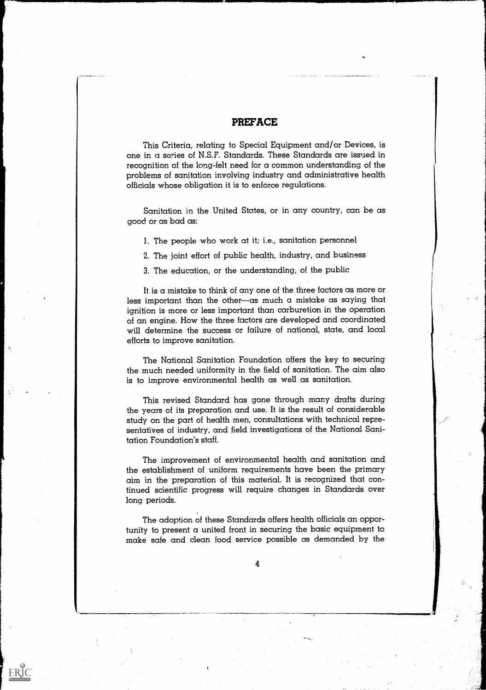## PREFACE

This Criteria, relating to Special Equipment and/or Devices, is one in a series of N.S.F. Standards. These Standards are issued in recognition of the long-felt need for a common understanding of the problems of sanitation involving industry and administrative health officials whose obligation it is to enforce regulations.

Sanitation in the United States, or in any country, can be as good or as bad as:

- 1. The people who work at it; i.e., sanitation personnel
- 2. The joint effort of public health, industry, and business
- 3. The education, or the understanding, of the public

It is a mistake to think of any one of the three factors as more or less important than the other-as much a mistake as saying that ignition is more or less important than carburetion in the operation of an engine. How the three factors are developed and coordinated will determine the success or failure of national, state, and local efforts to improve sanitation.

%

The National Sanitation Foundation offers the key to securing the much needed uniformity in the field of sanitation. The aim also is to improve environmental health as well as sanitation.

This revised Standard has gone through many drafts during the years of its preparation and use. It is the result of considerable study on the part of health men, consultations with technical representatives of industry, and field investigations of the National Sanitation Foundation's staff.

The improvement of environmental health and sanitation and the establishment of uniform requirements have been the primary aim in the preparation of this material. It is recognized that continued scientific progress will require changes in Standards over long periods.

The adoption of these Standards offers health officials an opportunity to present a united front in securing the basic equipment to make safe and clean food service possible as demanded by the

4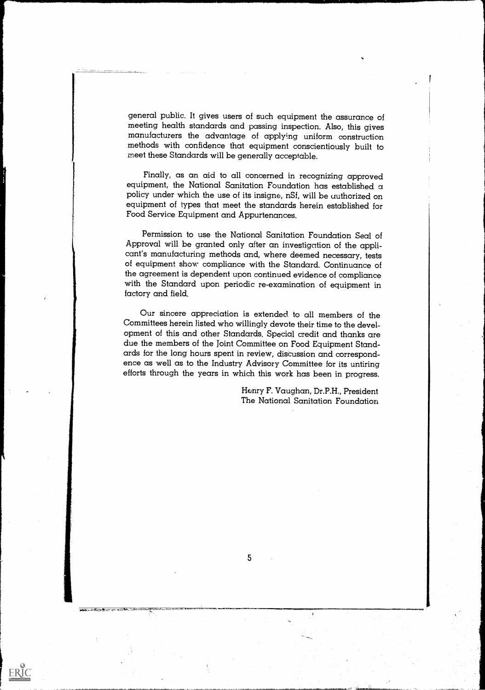general public. It gives users of such equipment the assurance of manufacturers the advantage of applying uniform construction methods with confidence that equipment conscientiously built to meet these Standards will be generally acceptable.

Finally, as an aid to all concerned in recognizing approved equipment, the National Sanitation Foundation has established  $\alpha$ policy under which the use of its insigne, nSf, will be uuthorized on equipment of types that meet the standards herein established for Food Service Equipment and Appurtenances.

Permission to use the National Sanitation Foundation Seal of Approval will be granted only after an investigation of the applicant's manufacturing methods and, where deemed necessary, tests of equipment show compliance with the Standard. Continuance of the agreement is dependent upon continued evidence of compliance with the Standard upon periodic re-examination of equipment in factory and field.

Our sincere appreciation is extended to all members of the Committees herein listed who willingly devote their time to the development of this and other Standards. Special credit and thanks are due the members of the joint Committee on Food Equipment Standards for the long hours spent in review, discussion and correspondence as well as to the Industry Advisory Committee for its untiring efforts through the years in which this work has been in progress.

> Henry F. Vaughan, Dr.P.H., President The National Sanitation Foundation

5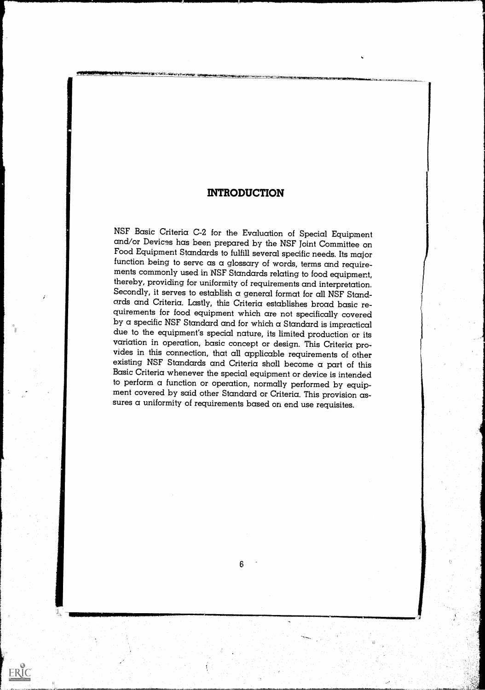# INTRODUCTION

NSF Basic Criteria C-2 for the Evaluation of Special Equipment and/or Devices has been prepared by the NSF Joint Committee on Food Equipment Standards to fulfill several specific needs. Its major function being to serve as a glossary of words, terms and requirements commonly used in NSF Standards relating to food equipment, Secondly, it serves to establish a general format for all NSF Stand-<br>ards and Criteria. Lastly, this Criteria establishes broad basic requirements for food equipment which are not specifically covered by a specific NSF Standard and for which a Standard is impractical due to the equipment's special nature, its limited production or its variation in operation, basic concept or design. This Criteria provides in this connection, that all applicable requirements of other<br>existing NSF Standards and Criteria shall become a part of this<br>Basic Criteria whenever the special equipment or device is intended<br>to perform a function ment covered by said other Standard or Criteria. This provision assures a uniformity of requirements based on end use requisites.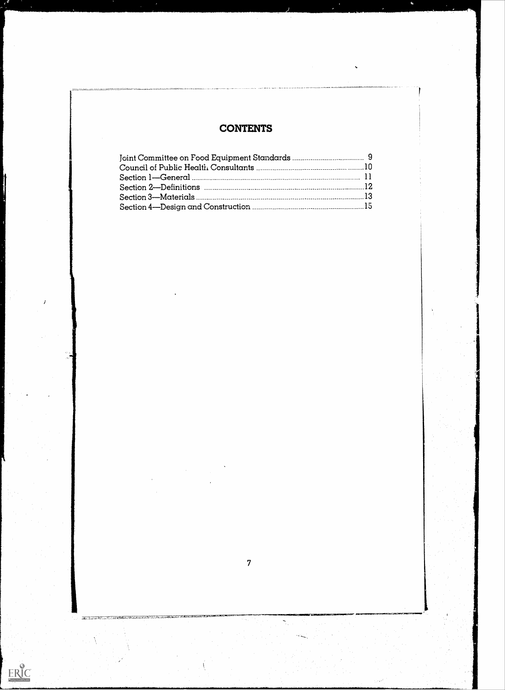# **CONTENTS**

7

÷.

**は、まずのみで、これにことを見る**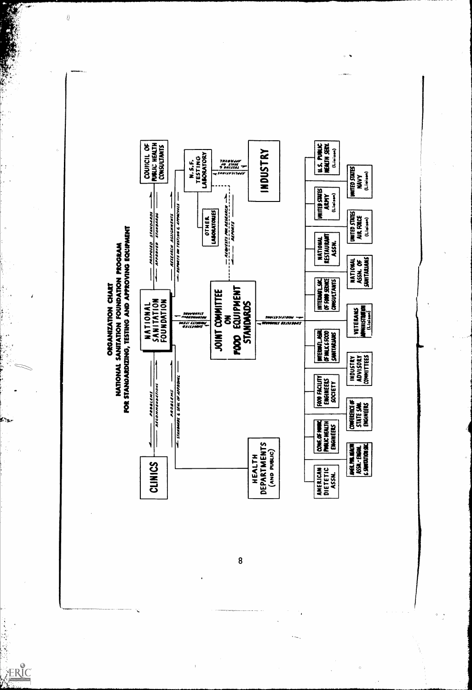

to,

 $\frac{1}{2}$  $\mathcal{L}_2$ 

ERIC

Í

 $\epsilon$  .

 $\leq$ 

ì

أتونج

 $\ddot{\cdot}$ 

 $\left\langle {}\right\rangle$ 

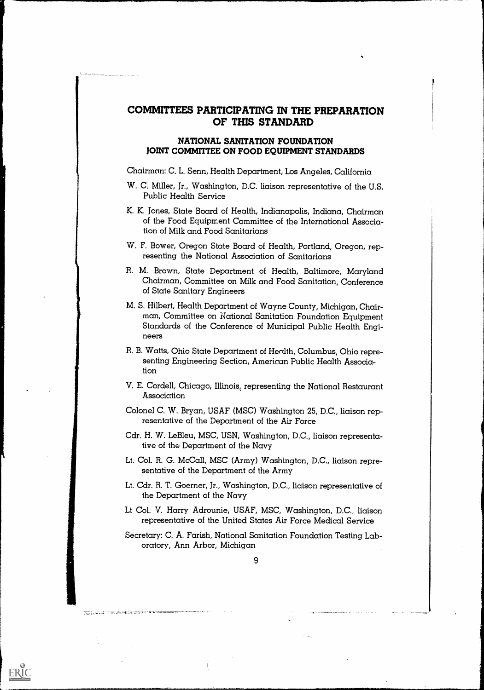# COMMITTEES PARTICIPATING IN THE PREPARATION OF THIS STANDARD

## NATIONAL SANITATION FOUNDATION JOINT COMMITTEE ON FOOD EQUIPMENT STANDARDS

Chairmon: C. L. Senn, Health Department, Los Angeles, California

- W. C. Miller, Jr., Washington, D.C. liaison representative of the U.S. Public Health Service
- K. K. Jones, State Board of Health, Indianapolis, Indiana, Chairman of the Food Equipment Committee of the International Association of Milk and Food Sanitarians
- W. F. Bower, Oregon State Board of Health, Portland, Oregon, representing the National Association of Sanitarians
- R. M. Brown, State Department of Health, Baltimore, Maryland Chairman, Committee on Milk and Food Sanitation, Conference of State Sanitary Engineers
- M. S. Hilbert, Health Department of Wayne County, Michigan, Chairman, Committee on National Sanitation Foundation Equipment Standards of the Conference of Municipal Public Health Engineers
- R. B. Watts, Ohio State Department of Health, Columbus, Ohio representing Engineering Section, American Public Health Association
- V. E. Cordell, Chicago, Illinois, representing the National Restaurant Association
- Colonel C. W. Bryan, USAF (MSC) Washington 25, D.C., liaison representative of the Department of the Air Force
- Cdr. H. W. Le Bleu, MSC, USN, Washington, D.C., liaison representative of the Department of the Navy
- Lt. Col. R. G. McCall, MSC (Army) Washington, D.C., liaison representative of the Department of the Army
- Lt. Cdr. R. T. Goerner, Jr., Washington, D.C., liaison representative of the Department of the Navy
- Lt Col. V. Harry Adrounie, USAF, MSC, Washington, D.C., liaison representative of the United States Air Force Medical Service
- Secretary: C. A. Farish, National Sanitation Foundation Testing Laboratory, Ann Arbor, Michigan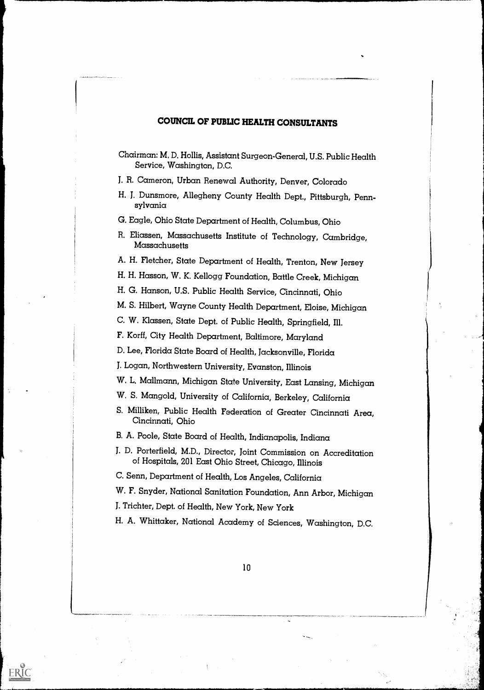# COUNCIL OF PUBLIC HEALTH CONSULTANTS

J. R. Cameron, Urban Renewal Authority, Denver, Colorado

H. J. Dunsmore, Allegheny County Health Dept., Pittsburgh, Penn- sylvania

G. Eagle, Ohio State Department of Health, Columbus, Ohio

R. Eliassen, Massachusetts Institute of Technology, Cambridge, Massachusetts

A. H. Fletcher, State Department of Health, Trenton, New Jersey

H. H. Hasson, W. K. Kellogg Foundation, Battle Creek, Michigan

H. G. Hanson, U.S. Public Health Service, Cincinnati, Ohio

M. S. Hilbert, Wayne County Health Department, Eloise, Michigan

C. W. Klassen, State Dept. of Public Health, Springfield, Ill.

F. Korff, City Health Department, Baltimore, Maryland

D. Lee, Florida State Board of Health, Jacksonville, Florida

J. Logan, Northwestern University, Evanston, Illinois

W. L. Mallmann, Michigan State University, East Lansing, Michigan

- W. S. Mangold, University of California, Berkeley, California
- S. Milliken, Public Health Federation of Greater Cincinnati Area, Cincinnati, Ohio
- B. A. Poole, State Board of Health, Indianapolis, Indiana
- J. D. Porterfield, M.D., Director, Joint Commission on Accreditation of Hospitals, 201 East Ohio Street, Chicago, Illinois

C. Senn, Department of Health, Los Angeles, California

W. F. Snyder, National Sanitation Foundation, Ann Arbor, Michigan

J. Trichter, Dept. of Health, New York, New York

ERIC

H. A. Whittaker, National Academy of Sciences, Washington, D.C.

Chairman: M, D. Hollis, Assistant Surgeon-General, U.S. Public Health Service, Washington, D.C.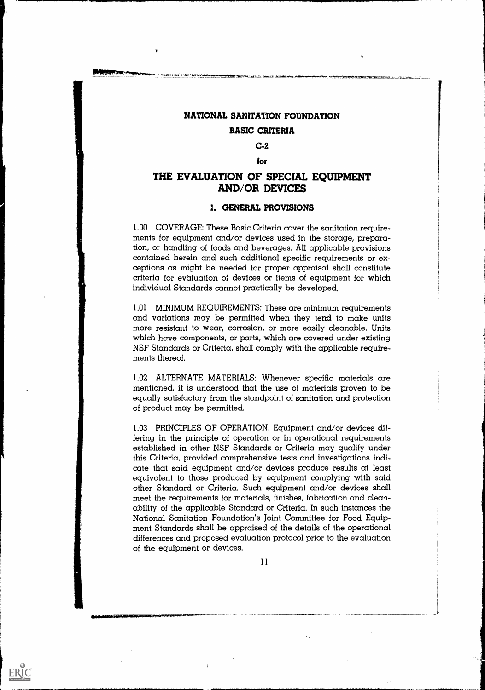# NATIONAL SANITATION FOUNDATION BASIC CRITERIA

# C-2

#### for

# THE EVALUATION OF SPECIAL EQUIPMENT AND/OR DEVICES

### I. GENERAL PROVISIONS

1.00 COVERAGE: These Basic Criteria cover the sanitation requirements for equipment and/or devices used in the storage, preparation, or handling of foods and beverages. All applicable provisions contained herein and such additional specific requirements or exceptions as might be needed for proper appraisal shall constitute criteria for evaluation of devices or items of equipment for which individual Standards cannot practically be developed.

1.01 MINIMUM REQUIREMENTS: These are minimum requirements and variations may be permitted when they tend to make units more resistant to wear, corrosion, or more easily cleanable. Units which have components, or parts, which are covered under existing NSF Standards or Criteria, shall comply with the applicable requirements thereof.

1.02 ALTERNATE MATERIALS: Whenever specific materials are mentioned, it is understood that the use of materials proven to be equally satisfactory from the standpoint of sanitation and protection of product may be permitted.

1.03 PRINCIPLES OF OPERATION: Equipment and/or devices differing in the principle of operation or in operational requirements established in other NSF Standards or Criteria may qualify under this Criteria, provided comprehensive tests and investigations indicate that said equipment and/or devices produce results at least equivalent to those produced by equipment complying with said other Standard or Criteria. Such equipment and/or devices shall meet the requirements for materials, finishes, fabrication and cleanability of the applicable Standard or Criteria. In such instances the National Sanitation Foundation's Joint Committee for Food Equipment Standards shall be appraised of the details of the operational differences and proposed evaluation protocol prior to the evaluation of the equipment or devices.

11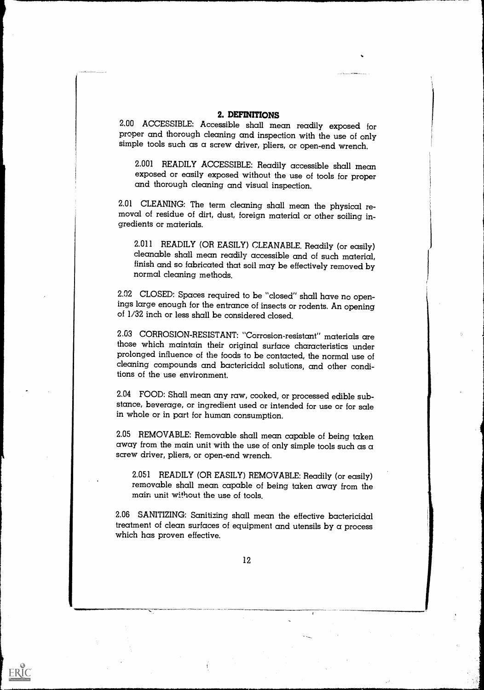**2. DEFINITIONS**<br>2.00 ACCESSIBLE: Accessible shall mean readily exposed for proper and thorough cleaning and inspection with the use of only simple tools such as a screw driver, pliers, or open-end wrench.

2.001 READILY ACCESSIBLE: Readily accessible shall mean exposed or easily exposed without the use of tools for proper and thorough cleaning and visual inspection.

2.01 CLEANING: The term cleaning shall mean the physical re- moval of residue of dirt, dust, foreign material or other soiling in- gredients or materials.

2.011 READILY (OR EASILY) CLEANABLE. Readily (or easily) cleanable shall mean readily accessible and of such material, finish and so fabricated that soil may be effectively removed by normal cleaning methods.

2.02 CLOSED: Spaces required to be "closed" shall have no openings large enough for the entrance of insects or rodents. An opening of 1/32 inch or less shall be considered closed.

2.03 CORROSION-RESISTANT: "Corrosion-resistant" materials are those which maintain their original surface characteristics under prolonged influence of the foods to be contacted, the normal use of cleaning compounds and bactericidal solutions, and other conditions of the use environment.

2.04 FOOD: Shall mean any raw, cooked, or processed edible substance, beverage, or ingredient used or intended for use or for sale in whole or in part for human consumption.

2.05 REMOVABLE: Removable shall mean capable of being taken away from the main unit with the use of only simple tools such as  $\alpha$ screw driver, pliers, or open-end wrench.

2.051 READILY (OR EASILY) REMOVABLE: Readily (or easily) removable shall mean capable of being taken away from the main unit without the use of tools.

2.06 SANITIZING: Sanitizing shall mean the effective bactericidal treatment of clean surfaces of equipment and utensils by a process which has proven effective.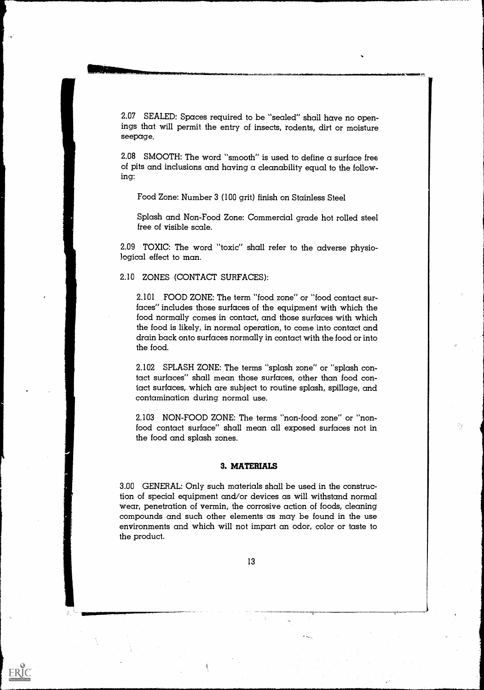2.07 SEALED: Spaces required to be "sealed" shall have no openings that will permit the entry of insects, rodents, dirt or moisture seepage.

2.08 SMOOTH: The word "smooth" is used to define a surface free of pits and inclusions and having a cleanability equal to the following:

Food Zone: Number 3 (100 grit) finish on Stainless Steel

Splash and Non-Food Zone: Commercial grade hot rolled steel free of visible scale.

2.09 TOXIC: The word "toxic" shall refer to the adverse physiological effect to man.

### 2.10 ZONES (CONTACT SURFACES):

2.101 FOOD ZONE: The term "food zone" or "food contact surfaces" includes those surfaces of the equipment with which the food normally comes in contact, and those surfaces with which the food is likely, in normal operation, to come into contact and drain back onto surfaces normally in contact with the food or into the food.

2.102 SPLASH ZONE: The terms "splash zone" or "splash contact surfaces" shall mean those surfaces, other than food contact surfaces, which are subject to routine splash, spillage, and contamination during normal use.

2.103 NON-FOOD ZONE: The terms "non-food zone" or "nonfood contact surface" shall mean all exposed surfaces not in the food and splash zones.

Šì.

#### 3. MATERIALS

3.00 GENERAL: Only such materials shall be used in the construction of special equipment and/or devices as will withstand normal wear, penetration of vermin, the corrosive action of foods, cleaning compounds and such other elements as may be found in the use environments and which will not impart an odor, color or taste to the product.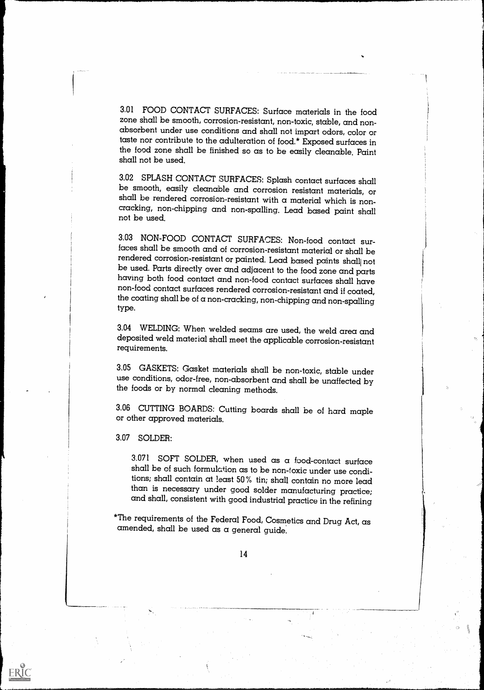3.01 FOOD CONTACT SURFACES: Surface materials in the food zone shall be smooth, corrosion-resistant, non-toxic, stable, and nonabsorbent under use conditions and shall not impart odors, color or taste nor contribute to the adulteration of food.\* Exposed surfaces in the food zone shall be finished so as to be easily cleanable. Paint shall not be used.

3.02 SPLASH CONTACT SURFACES: Splash contact surfaces shall be smooth, easily cleanable and corrosion resistant materials, or shall be rendered corrosion-resistant with a material which is noncracking, non-chipping and non-spalling. Lead based paint shall not be used.

3.03 NON-FOOD CONTACT SURFACES: Non-food contact surfaces shall be smooth and of corrosion-resistant material or shall be be used. Parts directly over and adjacent to the food zone and parts having both food contact and non-food contact surfaces rendered corrosion-resistant and if coated, the coating shall be of a non-cracking, non-chipping and non-spalling type.

3.04 WELDING: When welded seams are used, the weld area and deposited weld material shall meet the applicable corrosion-resistant requirements.

3.05 GASKETS: Gasket materials shall be non-toxic, stable under use conditions, odor-free, non-absorbent and shall be unaffected by the foods or by normal cleaning methods.

3.06 CUTTING BOARDS: Cutting boards shall be of hard maple or other approved materials.

3.07 SOLDER:

ERIC

3.071 SOFT SOLDER, when used as a food-contact surface shall be of such formulation as to be non-toxic under use conditions; shall contain at least 50 % tin; shall contain no more lead and shall, consistent with good industrial practice in the refining

\*The requirements of the Federal Food, Cosmetics and Drug Act, as amended, shall be used as a general guide.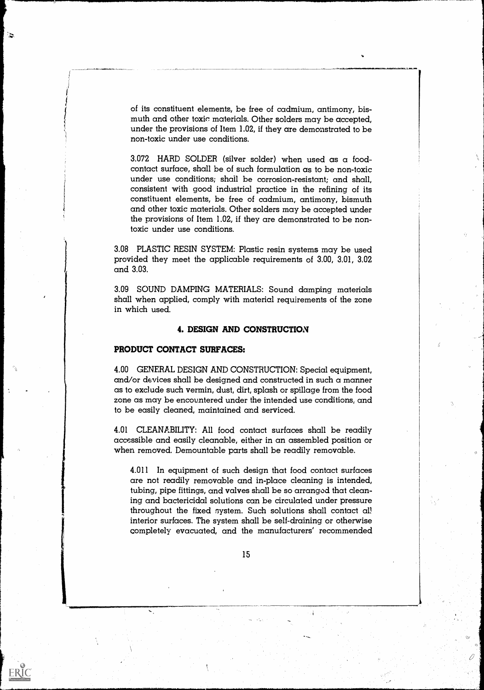of its constituent elements, be free of cadmium, antimony, bismuth and other toxic materials. Other solders may be accepted, under the provisions of Item 1.02, if they are demonstrated to be non-toxic under use conditions.

3.072 HARD SOLDER (silver solder) when used as a foodcontact surface, shall be of such formulation as to be non-toxic under use conditions; shall be corrosion-resistant; and shall, consistent with good industrial practice in the refining of its constituent elements, be free of cadmium, antimony, bismuth and other toxic materials. Other solders may be accepted under the provisions of Item 1.02, if they are demonstrated to be nontoxic under use conditions.

3.08 PLASTIC RESIN SYSTEM: Plastic resin systems may be used provided they meet the applicable requirements of 3.00, 3.01, 3.02 and 3.03.

3.09 SOUND DAMPING MATERIALS: Sound damping materials shall when applied, comply with material requirements of the zone in which used.

#### 4. DESIGN AND CONSTRUCTION

#### PRODUCT CONTACT SURFACES:

 $\mathbf{z}$ 

ERIC

4.00 GENERAL DESIGN AND CONSTRUCTION: Special equipment, and/or devices shall be designed and constructed in such a manner as to excl ude such vermin, dust, dirt, splash or spillage from the food zone as may be encountered under the intended use conditions, and to be easily cleaned, maintained and serviced.

4.01 CLEANABILITY: All food contact surfaces shall be readily accessible and easily cleanable, either in an assembled position or when removed. Demountable parts shall be readily removable.

4.011 In equipment of such design that food contact surfaces are not readily removable and in-place cleaning is intended, tubing, pipe fittings, and valves shall be so arranged that cleaning and bactericidal solutions can be circulated under pressure throughout the fixed system. Such solutions shall contact all interior surfaces. The system shall be self-draining or otherwise completely evacuated, and the manufacturers' recommended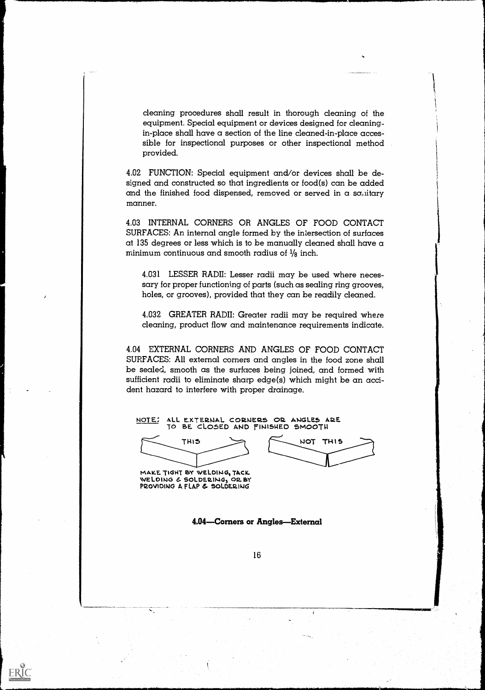cleaning procedures shall result in thorough cleaning of the equipment. Special equipment or devices designed for cleaningin-place shall have a section of the line cleaned-in-place accessible for inspectional purposes or other inspectional method provided.

4.02 FUNCTION: Special equipment and/or devices shall be designed and constructed so that ingredients or food(s) can be added and the finished food dispensed, removed or served in a sa, iitary manner.

4.03 INTERNAL CORNERS OR ANGLES OF FOOD CONTACT SURFACES: An internal angle formed by the intersection of surfaces at 135 degrees or less which is to be manually cleaned shall have a minimum continuous and smooth radius of  $\frac{1}{8}$  inch.

4.031 LESSER RADII: Lesser radii may be used where necessary for proper functioning of parts (such as sealing ring grooves, holes, or grooves), provided that they can be readily cleaned.

4.032 GREATER RADII: Greater radii may be required where cleaning, product flow and maintenance requirements indicate.

4.04 EXTERNAL CORNERS AND ANGLES OF FOOD CONTACT SURFACES: All external corners and angles in the food zone shall be sealed, smooth as the surfaces being joined, and formed with sufficient radii to eliminate sharp edge(s) which might be an accident hazard to interfere with proper drainage.

NOTE: ALL EXTERNAL CORNERS OR ANGLES ARE TO BE CLOSED AND FINISHED SMOOTH

THIS

415.1.1 NOT THIS

MAKE TIGHT BY WELDING, TACK WELDING & SOLDERING, OR BY PROVIDING A FLAP & SOLDERING

ERIC

4.04—Corners or Angles—External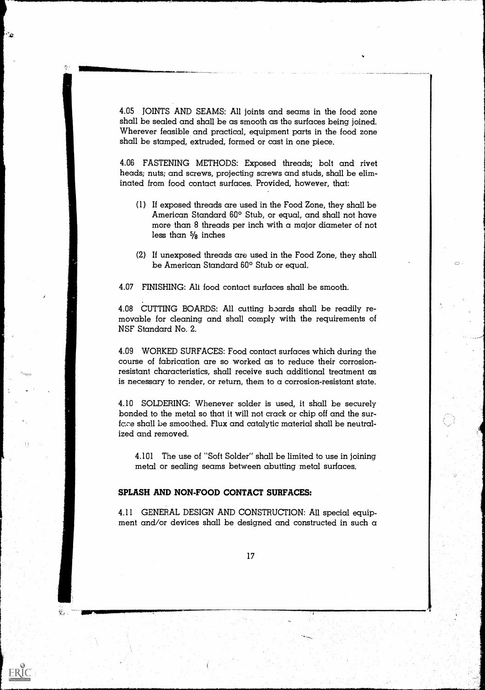4.05 JOINTS AND SEAMS: All joints and seams in the food zone shall be sealed and shall be as smooth as the surfaces being joined. Wherever feasible and practical, equipment parts in the food zone shall be stamped, extruded, formed or cast in one piece.

Mille Manipul Mille Mille Mille Mille Mille Mille Mille Mille Mille Mille Mille Mille Mille Mille Mille Mille

 $\mathcal{L}_{\mathcal{D}}$ 

ERIC

4.06 FASTENING METHODS: Exposed threads; bolt and rivet heads; nuts; and screws, projecting screws and studs, shall be eliminated from food contact surfaces. Provided, however, that:

- (1) If exposed threads are used in the Food Zone, they shall be American Standard 60° Stub, or equal, and shall not have more than 8 threads per inch with a major diameter of not less than  $\frac{5}{8}$  inches
- (2) If unexposed threads are used in the Food Zone, they shall be American Standard 60° Stub or equal.

4.07 FINISHING: All food contact surfaces shall be smooth.

4.08 CUTTING BOARDS: All cutting boards shall be readily removable for cleaning and shall comply with the requirements of NSF Standard No. 2.

4.09 WORKED SURFACES: Food contact surfaces which during the course of fabrication are so worked as to reduce their corrosionresistant characteristics, shall receive such additional treatment as is necessary to render, or return, them to a corrosion-resistant state.

4.10 SOLDERING: Whenever solder is used, it shall be securely bonded to the metal so that it will not crack or chip off and the surface shall be smoothed. Flux and catalytic material shall be neutralized and removed.

4.101 The use of "Soft Solder" shall be limited to use in joining metal or sealing seams between abutting metal surfaces.

#### SPLASH AND NON-FOOD CONTACT SURFACES:

4.11 GENERAL DESIGN AND CONSTRUCTION: All special equipment and/or devices shall be designed and constructed in such a



\$PINIMANOMORIMONOMIANOMORIMO.<br>PASALINI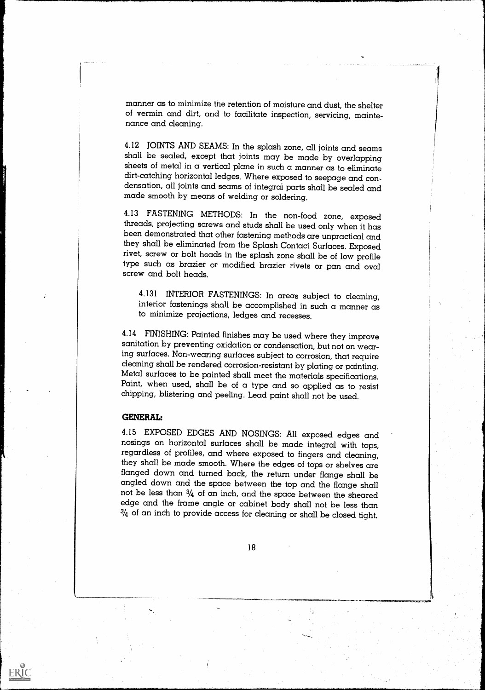manner as to minimize tne retention of moisture and dust, the shelter of vermin and dirt, and to facilitate inspection, servicing, mainte- nance and cleaning.

4.12 JOINTS AND SEAMS: In the splash zone, all joints and seams shall be sealed, except that joints may be made by overlapping sheets of metal in a vertical plane in such a manner as to eliminate dirt-catching horizontal ledges. Where exposed to seepage and condensation, all joints and seams of integral parts shall be sealed and made smooth by means of welding or soldering.

4.13 FASTENING METHODS: In the non-food zone, exposed threads, projecting screws and studs shall be used only when it has been demonstrated that other fastening methods are unpractical and they shall be eliminated from the Splash Contact Surfaces. Exposed rivet, screw or bolt heads in the splash zone shall be of low profile type such as brazier or modified brazier rivets or pan and oval screw and bolt heads.

4.131 INTERIOR FASTENINGS: In areas subject to cleaning, interior fastenings shall be accomplished in such a manner as to minimize projections, ledges and recesses.

4.14 FINISHING: Painted finishes may be used where they improve sanitation by preventing oxidation or condensation, but not on wearing surfaces. Non-wearing surfaces subject to corrosion, that require Metal surfaces to be painted shall meet the materials specifications.<br>Paint, when used, shall be of a type and so applied as to resist<br>chipping, blistering and peeling. Lead paint shall not be used.

#### GENERAL:

ERIC

4.15 EXPOSED EDGES AND NOSINGS: All exposed edges and regardless of profiles, and where exposed to fingers and cleaning, they shall be made smooth. Where the edges of tops or shelves are flanged down and turned back, the return under flange shall be angled down and the space between the top and the flange shall not be less than  $3/4$  of an inch, and the space between the sheared edge and the frame angle or cabinet body shall not be less than  $3/4$  of an inch to provide access for cleaning or shall be closed tight.

18

.4Irk-F.=7.-411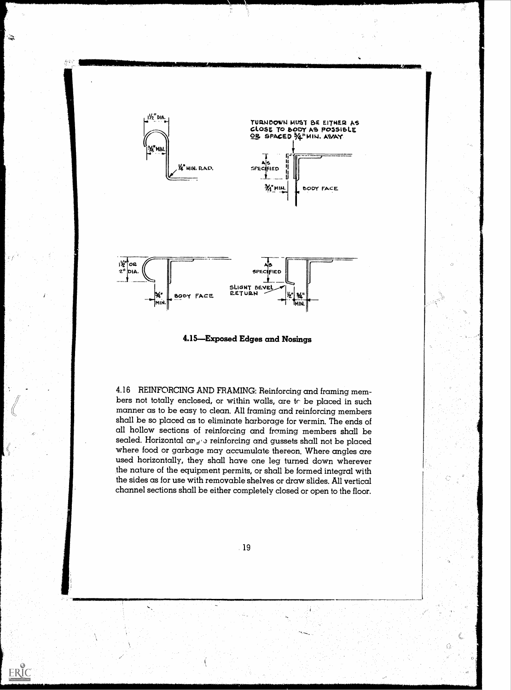

,

्रदे

 $**ERIC** **Example 1** **Fig. 1** **Example 1**$ </u>



4.16 REINFORCING AND FRAMING: Reinforcing and framing members not totally enclosed, or within walls, are tr be placed in such manner as to be easy to clean. All framing and reinforcing members shall be so placed as to eliminate harborage for vermin. The ends of all hollow sections of reinforcing and framing members shall be sealed. Horizontal arge reinforcing and gussets shall not be placed where food or garbage may accumulate thereon. Where angles are used horizontally, they shall have one leg turned down wherever the nature of the equipment permits, or shall be formed integral with the sides as for use with removable shelves or draw slides. All vertical channel sections shall be either completely closed or open to the floor.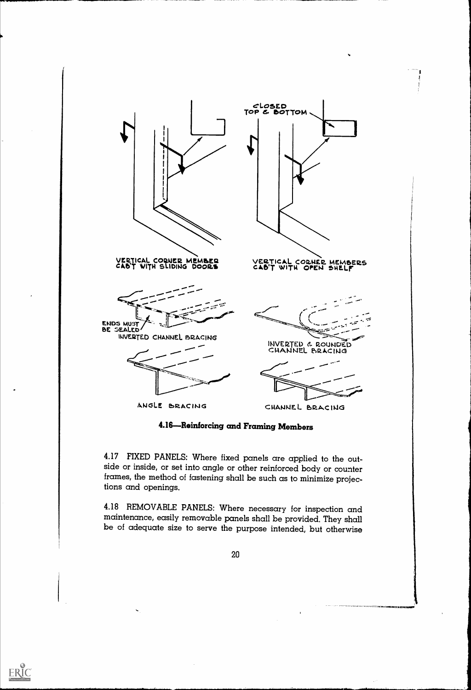

4.16-Reinforcing and Framing Members

4.17 FIXED PANELS: Where fixed panels are applied to the out- side or inside, or set into angle or other reinforced body or counter frames, the method of fastening shall be such as to minimize projections and openings.

4.18 REMOVABLE PANELS: Where necessary for inspection and be of adequate size to serve the purpose intended, but otherwise

20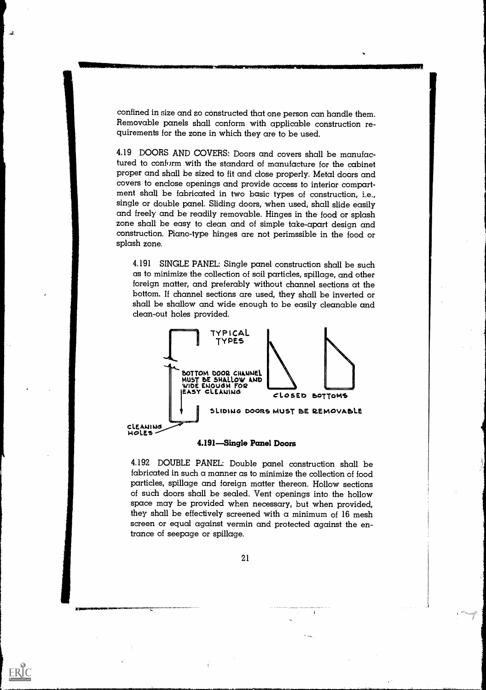confined in size and so constructed that one person can handle them. Removable panels shall conform with applicable construction requirements for the zone in which they are to be used.

. ئ.

ERIC

4.19 DOORS AND COVERS: Doors and covers shall be manufactured to conform with the standard of manufacture for the cabinet proper and shall be sized to fit and close properly. Metal doors and covers to enclose openings and provide access to interior compartment shall be fabricated in two basic types of construction, i.e., single or double panel. Sliding doors, when used, shall slide easily and freely and be readily removable. Hinges in the food or splash zone shall be easy to clean and of simple take-apart design and construction. Piano-type hinges are not perimssible in the food or splash zone.

4.191 SINGLE PANEL: Single panel construction shall be such as to minimize the collection of soil particles, spillage, and other foreign matter, and preferably without channel sections at the bottom. If channel sections are used, they shall be inverted or shall be shallow and wide enough to be easily cleanable and clean-out holes provided.



#### 4.191-Single Panel Doors

4.192 DOUBLE PANEL: Double panel construction shall be fabricated in such a manner as to minimize the collection of food particles, spillage and foreign matter thereon. Hollow sections of such doors shall be sealed. Vent openings into the hollow space may be provided when necessary, but when provided, they shall be effectively screened with a minimum of  $16$  mesh screen or equal against vermin and protected against the entrance of seepage or spillage.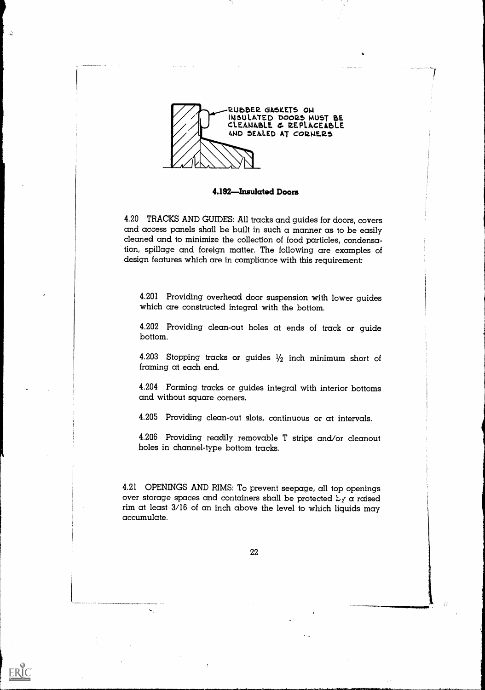

. . .

ERIC

4.192-Insulated Doors

4.20 TRACKS AND GUIDES: All tracks and guides for doors, covers and access panels shall be built in such a manner as to be easily cleaned and to minimize the collection of food particles, condensation, spillage and foreign matter. The following are examples of design features which are in compliance with this requirement:

4.201 Providing overhead door suspension with lower guides which are constructed integral with the bottom.

4.202 Providing clean-out holes at ends of track or guide bottom.

4.203 Stopping tracks or guides  $1/2$  inch minimum short of framing at each end.

4.204 Forming tracks or guides integral with interior bottoms and without square corners.

4.205 Providing clean-out slots, continuous or at intervals.

4.206 Providing readily removable T strips and/or cleanout holes in channel-type bottom tracks.

4.21 OPENINGS AND RIMS: To prevent seepage, all top openings over storage spaces and containers shall be protected  $L_f$  a raised rim at least 3/16 of an inch above the level to which liquids may accumulate.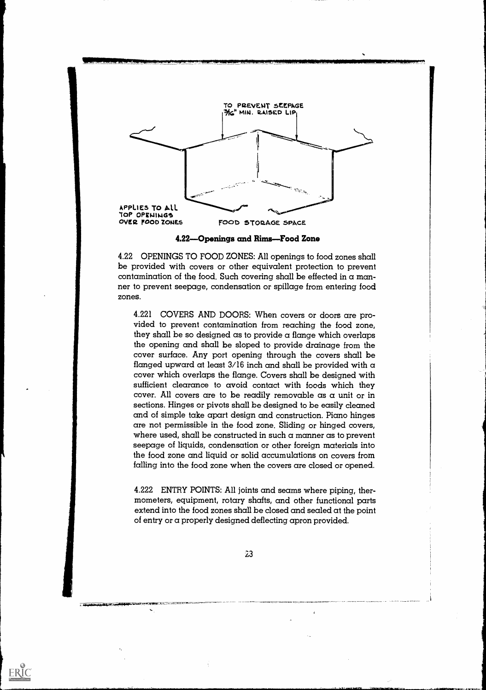

4.22-Openings and Rims-Food Zone

4.22 OPENINGS TO FOOD ZONES: All openings to food zones shall be provided with covers or other equivalent protection to prevent contamination of the food. Such covering shall be effected in  $\alpha$  manner to prevent seepage, condensation or spillage from entering food zones.

4.221 COVERS AND DOORS: When covers or doors are provided to prevent contamination from reaching the food zone, they shall be so designed as to provide a flange which overlaps the opening and shall be sloped to provide drainage from the cover surface. Any port opening through the covers shall be flanged upward at least  $3/16$  inch and shall be provided with a cover which overlaps the flange. Covers shall be designed with sufficient clearance to avoid contact with foods which they cover. All covers are to be readily removable as a unit or in sections. Hinges or pivots shall be designed to be easily cleaned and of simple take apart design and construction. Piano hinges are not permissible in the food zone. Sliding or hinged covers, where used, shall be constructed in such a manner as to prevent seepage of liquids, condensation or other foreign materials into the food zone and liquid or solid accumulations on covers from falling into the food zone when the covers are closed or opened.

4.222 ENTRY POINTS: All joints and seams where piping, thermometers, equipment, rotary shafts, and other functional parts extend into the food zones shall be closed and sealed at the point of entry or a properly designed deflecting apron provided.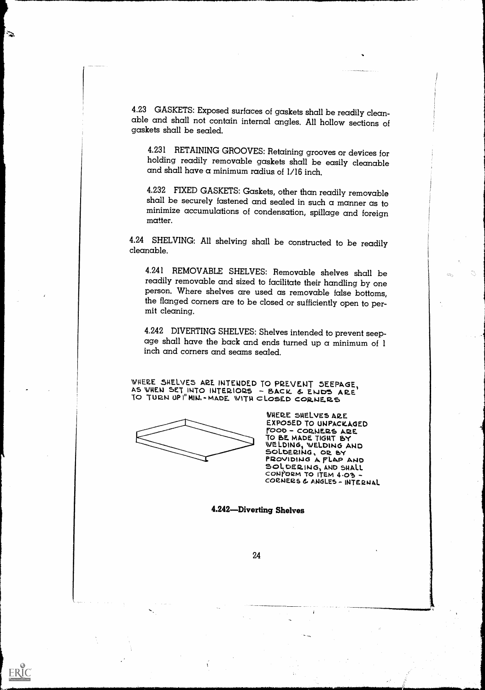4.23 GASKETS: Exposed surfaces of gaskets shall be readily clean- able and shall not contain internal angles. All hollow sections of gaskets shall be sealed.

4.231 RETAINING GROOVES; Retaining grooves or devices for holding readily removable gaskets shall be easily cleanable and shall have a minimum radius of  $1/16$  inch.

4.232 FIXED GASKETS: Gaskets, other than readily removable shall be securely fastened and sealed in such a manner as to minimize accumulations of condensation, spillage and foreign matter.

4.24 SHELVING: All shelving shall be constructed to be readily cleanable.

4.241 REMOVABLE SHELVES: Removable shelves shall be readily removable and sized to facilitate their handling by one person. Where shelves are used as removable false bottoms, the flanged corners are to be closed or sufficiently open to per- mit cleaning.

4.242 DIVERTING SHELVES: Shelves intended to prevent seep- age shall have the back and ends turned up a minimum of 1 inch and corners and seams sealed.

WHERE SHELVES ARE INTENDED TO PREVENT SEEPAGE, AS WHEN SET INTO INTERIORS - BACK & ENDS ARE TO TURN UP I" MIN. - MADE WITH CLOSED CORNERS

 $\mathbf{z}$ 

ERIC

WHERE SHELVES ARE EXPOSED TO UNPACKAGED FOOD - CORNERS ARE TO BE MADE TIGHT BY WELDING, WELDING AND PROVIDING A FLAP AND CONFORM TO ITEM 4.03 coeNtiase. ANGLES- INTE2m4L

4.242-Diverting Shelves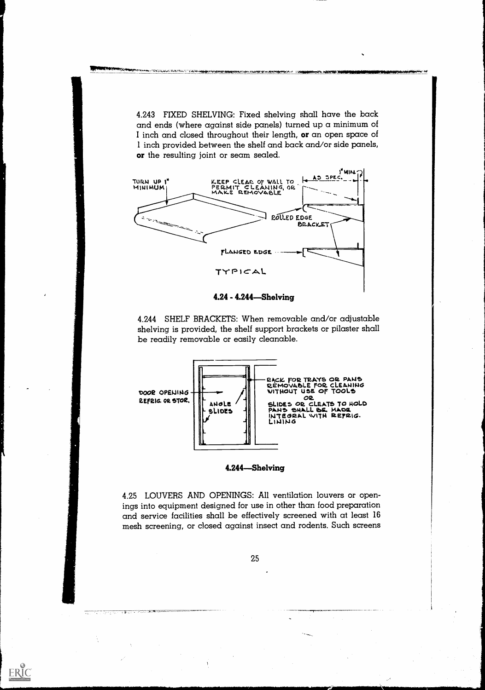4.243 FIXED SHELVING: Fixed shelving shall have the back and ends (where against side panels) turned up a minimum of I inch and closed throughout their length, or an open space of 1 inch provided between the shelf and back and/or side panels, or the resulting joint or seam sealed.



4.24 - 4.244 Shelving

4.244 SHELF BRACKETS: When removable and/or adjustable shelving is provided, the shelf support brackets or pilaster shall be readily removable or easily cleanable.



4.244-Shelving

4.25 LOUVERS AND OPENINGS: All ventilation louvers or openings into equipment designed for use in other than food preparation and service facilities shall be effectively screened with at least 16 mesh screening, or closed against insect and rodents. Such screens

25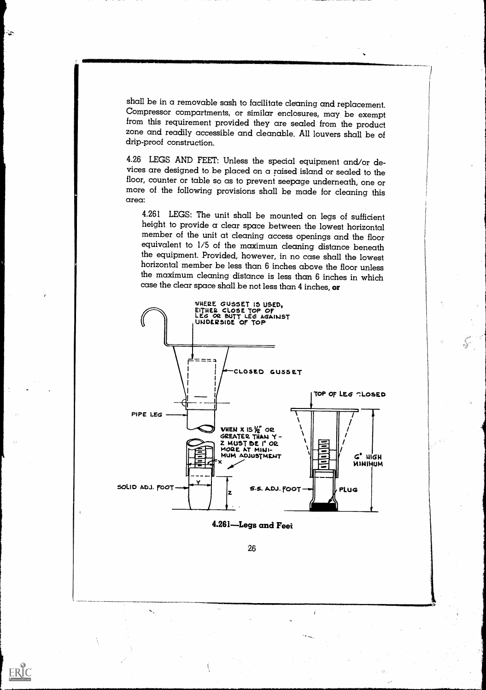shall be in a removable sash to facilitate cleaning and replacement. from this requirement provided they are sealed from the product zone and readily accessible and cleanable. All louvers shall be of drip-proof construction.

 $\sim$ 

ERIC

4.26 LEGS AND FEET: Unless the special equipment and/or de- vices are designed to be placed on a raised island or sealed to the floor, counter or table so as to prevent seepage underneath, one or more of the following provisions shall be made for cleaning this area:

4.261 LEGS: The unit shall be mounted on legs of sufficient height to provide  $\alpha$  clear space between the lowest horizontal member of the unit at clearing access openings and the floor equivalent to  $1/5$  of the maximum the equipment. Provided, however, in no case shall the lowest horizontal member be less than 6 inches above the floor unless the maximum cleaning distance is less than 6 inches in which case the clear space shall be not less than 4 inches, or



4.261 Legs and Feet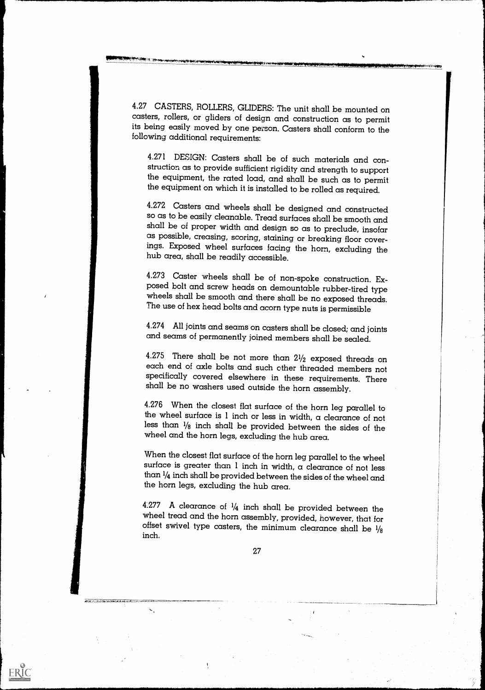4.27 CASTERS, ROLLERS, GLIDERS: The unit shall be mounted on casters, rollers, or gliders of design and construction as to permit its being easily moved by one person. Casters shall conform to the following additional requirements:

4.271 DESIGN: Casters shall be of such materials and conthe equipment, the rated load, and shall be such as to permit the equipment on which it is installed to be rolled as required.

4.272 Casters and wheels shall be designed and constructed so as to be easily cleanable. Tread surfaces shall be smooth and as possible, creasing, scoring, staining or breaking floor coverings. Exposed wheel surfaces facing the horn, excluding the hub area, shall be readily accessible.

4.273 Caster wheels shall be of non-spoke construction. Exposed bolt and screw heads on demountable rubber-tired type wheels shall be smooth and there shall be no exposed threads. The use of hex head bolts and acorn type n

4.274 All joints and seams on casters shall be closed; and joints and seams of permanently joined members shall be sealed.

4.275 There shall be not more than  $2\frac{1}{2}$  exposed threads on each end of axle bolts and such other threaded members not specifically covered elsewhere in these requirements. There shall be no washers used outside the horn assembly.

4.276 When the closest flat surface of the horn leg parallel to the wheel surface is 1 inch or less in width, a clearance of not less than  $1/8$  inch shall be provided between the sides of the wheel and the horn legs, excluding the hub area.

When the closest flat surface of the horn leg parallel to the wheel surface is greater than 1 inch in width, a clearance of not less than 1/4 inch shall be provided between the sides of the wheel and the horn legs, excluding the hub area.

4.277 A clearance of  $\frac{1}{4}$  inch shall be provided between the wheel tread and the horn assembly, provided, however, that for offset swivel type casters, the minimum clearance shall be  $\frac{1}{8}$ inch.

ang Kara nambalan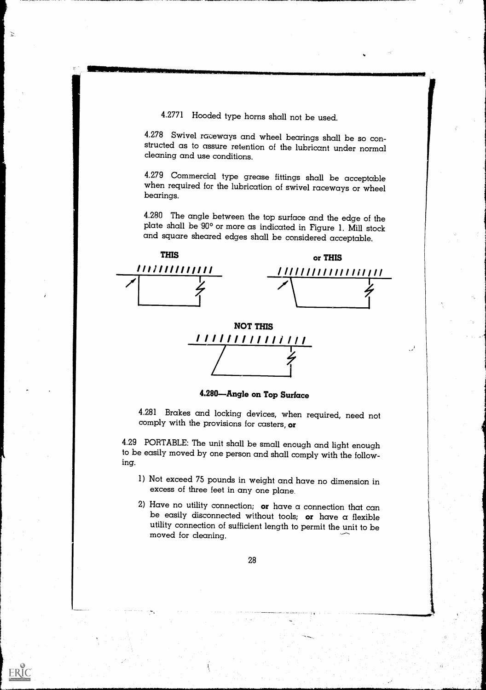4.2771 Flooded type horns shall not be used.

 $\mathbb{Z}$ 

ERIC

4.278 Swivel raceways and wheel bearings shall be so con- structed as to assure retention of the lubricant under normal cleaning and use conditions.

4.279 Commercial type grease fittings shall be acceptable when required for the lubrication of swivel raceways or wheel bearings.

4.280 The angle between the top surface and the edge of the plate shall be  $90^{\circ}$  or more as indicated in Figure 1. Mill stock and square sheared edges shall be considered acceptable.





4.280-Angle on Top Surface

4.281 Brakes and locking devices, when required, need not comply with the provisions for casters, or

4.29 PORTABLE: The unit shall be small enough and light enough to be easily moved by one person and shall comply with the following.

- 1) Not exceed 75 pounds in weight and have no dimension in excess of three feet in any one plane.
- 2) Have no utility connection; or have a connection that can be easily disconnected without tools; or have a flexible utility connection of sufficient length to permit the unit to be moved for cleaning.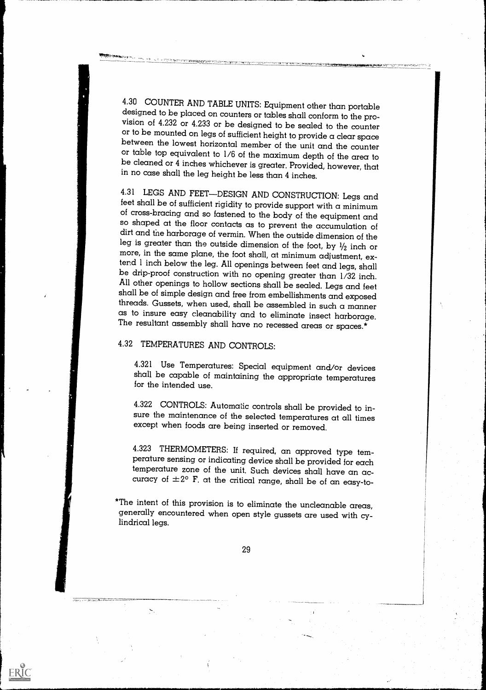4.30 COUNTER AND TABLE UNITS: Equipment other than portable designed to be placed on counters or tables shall conform to the provision of 4.232 or 4.233 or be designed to be sealed to the counter or to be mounted on legs between the lowest horizontal member of the unit and the counter<br>or table top equivalent to 1/6 of the maximum depth of the area to be cleaned or 4 inches whichever is greater. Provided, however, that in no case shall the leg height be less than 4 inches.

4.31 LEGS AND FEET—DESIGN AND CONSTRUCTION: Legs and feet shall be of sufficient rigidity to provide support with a minimum of cross-bracing and so fastened to the body of the equipment and so shaped at the floor contacts as to prevent the accumulation of<br>dirt and the harborage of vermin. When the outside dimension of the<br>leg is greater than the outside dimension of the foot, by  $1/2$  inch or<br>more, in the sa shall be of simple design and free from embellishments and exposed threads. Gussets, when used, shall be assembled in such a manner<br>as to insure easy cleanability and to eliminate insect harborage. The resultant assembly shall have no recessed areas or spaces.\*

# 4.32 TEMPERATURES AND CONTROLS:

ERIC

4.321 Use Temperatures: Special equipment and/or devices shall be capable of maintaining the appropriate temperatures for the intended use.

4.322 CONTROLS: Automatic controls shall be provided to in- sure the maintenance of the selected temperatures at all times except when foods are being inserted or removed.

4.323 THERMOMETERS: If required, an approved type tem- perature sensing or indicating device shall be provided for each curacy of  $\pm 2^{\circ}$  F. at the critical range, shall be of an easy-to-

\*The intent of this provision is to eliminate the uncleanable areas, generally encountered when open style gussets are used with cylindrical legs.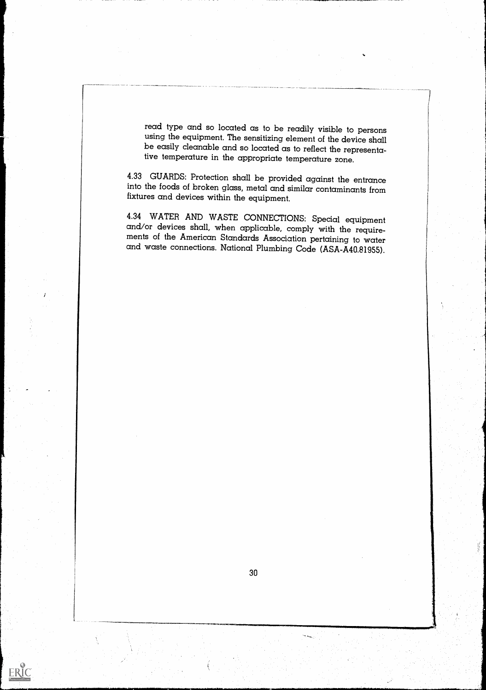read type and so located as to be readily visible to persons using the equipment. The sensitizing element of the device shall be easily cleanable and so located as to reflect the representative temperature in the appropriate temperature zone.

4.33 GUARDS: Protection shall be provided against the entrance into the foods of broken glass, metal and similar contaminants from fixtures and devices within the equipment.

4.34 WATER AND WASTE CONNECTIONS: Special equipment<br>and/or devices shall, when applicable, comply with the require-<br>ments of the American Standards Association pertaining to water<br>and waste connections. National Plumbing C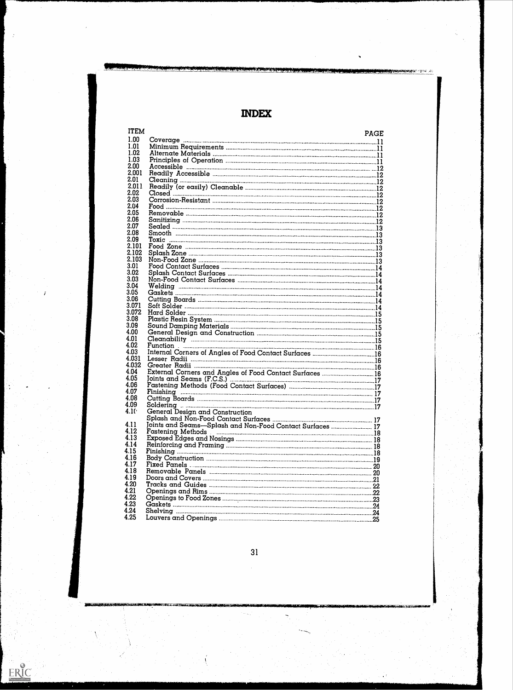INDEX

| <b>ITEM</b>       |                                                           | <b>PAGE</b> |  |
|-------------------|-----------------------------------------------------------|-------------|--|
| 1.00              |                                                           |             |  |
| 1.01              |                                                           |             |  |
| 1.02              |                                                           |             |  |
| 1.03              |                                                           |             |  |
| 2.00              |                                                           |             |  |
| 2.001             |                                                           |             |  |
| 2.01              |                                                           |             |  |
| 2.011             |                                                           |             |  |
| 2.02              |                                                           |             |  |
| 2.03              |                                                           |             |  |
| 2.04              |                                                           |             |  |
| 2.05              |                                                           |             |  |
| 2.06              |                                                           |             |  |
| 2.07              |                                                           |             |  |
| 2.08              |                                                           |             |  |
| 2.09              | Toxic                                                     |             |  |
| 2.101             |                                                           |             |  |
| 2.102             |                                                           |             |  |
| 2.103             |                                                           |             |  |
| 3.01              |                                                           |             |  |
| 3.02              |                                                           |             |  |
| 3.03              |                                                           |             |  |
| 3.04              |                                                           |             |  |
| 3.05              |                                                           |             |  |
| 3.06              |                                                           |             |  |
| 3.071<br>3.072    |                                                           |             |  |
| 3.08              |                                                           |             |  |
| 3.09              |                                                           |             |  |
| 4.00              |                                                           |             |  |
| 4.01              |                                                           |             |  |
| 4.02              | Cleanability 15                                           |             |  |
| 4.03              |                                                           |             |  |
| 4.031             |                                                           |             |  |
| 4.032             |                                                           |             |  |
| 4.04              |                                                           |             |  |
| 4.05              |                                                           |             |  |
| 4.06              |                                                           |             |  |
| 4.07              |                                                           |             |  |
| 4.08              |                                                           |             |  |
| 4.09              | Solderina<br>.                                            |             |  |
| 4.10 <sup>4</sup> | <b>General Design and Construction</b>                    |             |  |
|                   |                                                           |             |  |
| 4.11              | Joints and Seams-Splash and Non-Food Contact Surfaces  17 |             |  |
| 4.12              |                                                           |             |  |
| 4.13              |                                                           |             |  |
| 4.14              |                                                           |             |  |
| 4.15              |                                                           |             |  |
| 416               |                                                           |             |  |
| 4.17              |                                                           |             |  |
| 4.18              |                                                           |             |  |
| 4.19              |                                                           |             |  |
| 4.20<br>4.21      |                                                           |             |  |
| 4.22              |                                                           |             |  |
| 4.23              |                                                           |             |  |
| 4.24              |                                                           |             |  |
| 4.25              |                                                           |             |  |
|                   |                                                           |             |  |

31

ERIC

."s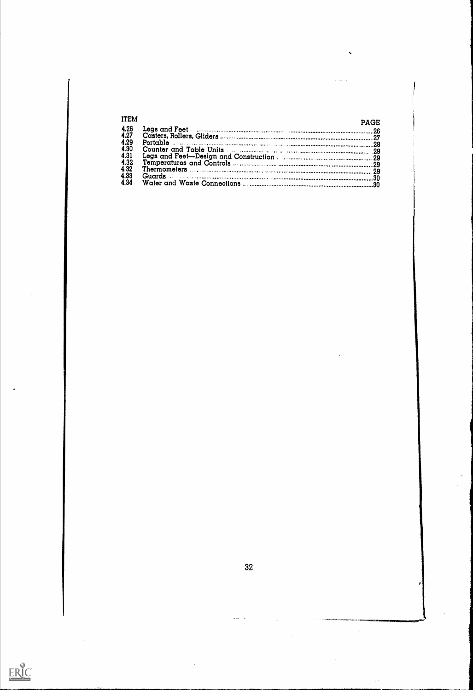| <b>ITEM</b>  | <b>PAGE</b> |  |
|--------------|-------------|--|
| 4.26         |             |  |
| 4.27         |             |  |
| 4.29<br>4.30 |             |  |
| 4.31         |             |  |
| 4.32         |             |  |
| 4.32         |             |  |
| 4.33         | Guards . 30 |  |
| 4.34         |             |  |

 $\sim$ 

 $\bar{\mathcal{N}}$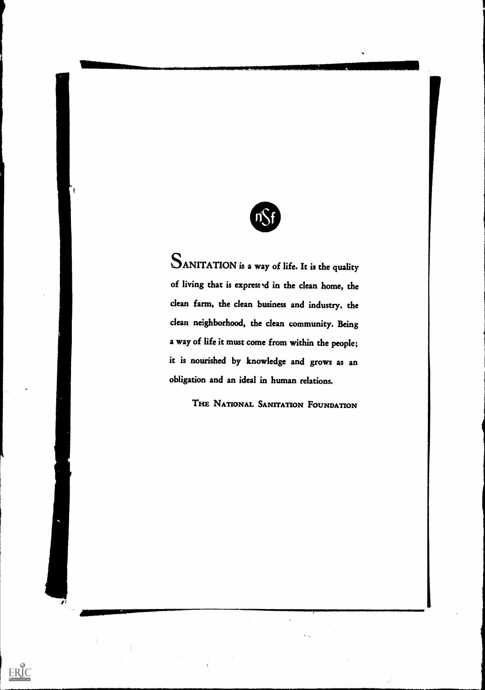

SANITATION is a way of life. It is the quality of living that is expressed in the clean home, the clean farm, the clean business and industry, the clean neighborhood, the clean community. Being a way of life it must come from within the people; it is nourished by knowledge and grows as an obligation and an ideal in human relations.

THE NATIONAL SANITATION FOUNDATION

 $\hat{\mathcal{C}}_{\mathbf{X}}$ 

 $\vec{r}$ 

**Identification** 

 $\frac{1}{3}$